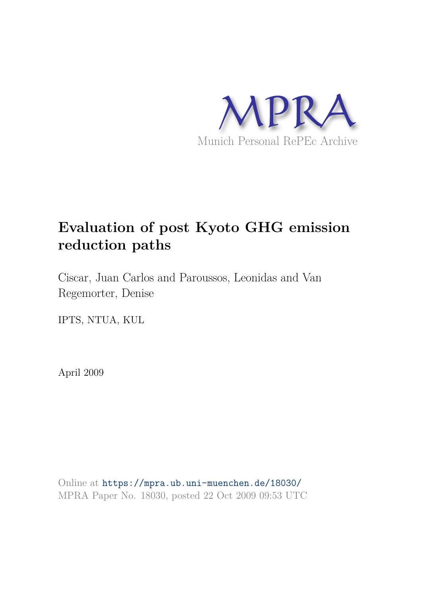

# **Evaluation of post Kyoto GHG emission reduction paths**

Ciscar, Juan Carlos and Paroussos, Leonidas and Van Regemorter, Denise

IPTS, NTUA, KUL

April 2009

Online at https://mpra.ub.uni-muenchen.de/18030/ MPRA Paper No. 18030, posted 22 Oct 2009 09:53 UTC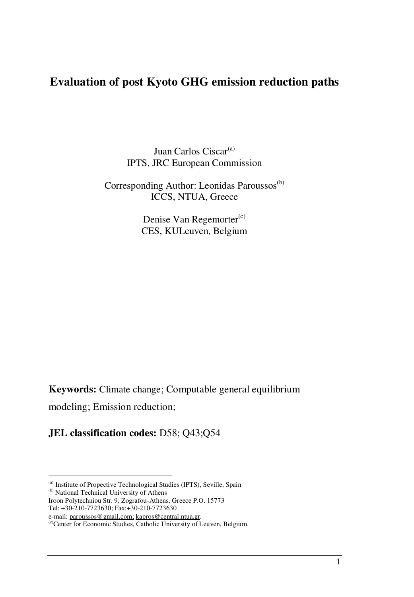## **Evaluation of post Kyoto GHG emission reduction paths**

Juan Carlos Ciscar<sup>(a)</sup> IPTS, JRC European Commission

Corresponding Author: Leonidas Paroussos<sup>(b)</sup> ICCS, NTUA, Greece

> Denise Van Regemorter<sup>(c)</sup> CES, KULeuven, Belgium

**Keywords:** Climate change; Computable general equilibrium

modeling; Emission reduction;

**JEL classification codes:** D58; Q43;Q54

(b) National Technical University of Athens

Tel: +30-210-7723630; Fax:+30-210-7723630

<sup>(</sup>a) Institute of Propective Technological Studies (IPTS), Seville, Spain

Iroon Polytechniou Str. 9, Zografou-Athens, Greece P.O. 15773

e-mail: paroussos@gmail.com; kapros@central.ntua.gr.

<sup>(</sup>c)Center for Economic Studies, Catholic University of Leuven, Belgium.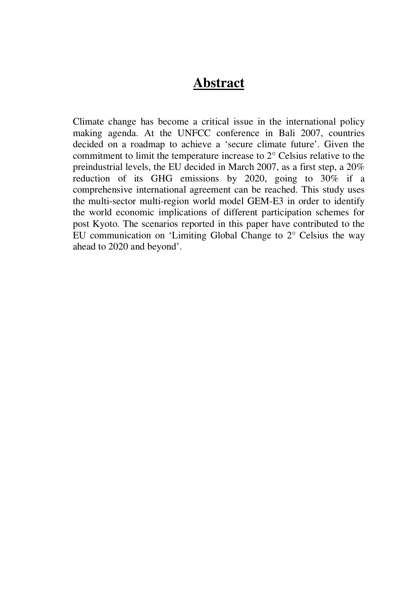# **Abstract**

Climate change has become a critical issue in the international policy making agenda. At the UNFCC conference in Bali 2007, countries decided on a roadmap to achieve a 'secure climate future'. Given the commitment to limit the temperature increase to 2° Celsius relative to the preindustrial levels, the EU decided in March 2007, as a first step, a 20% reduction of its GHG emissions by 2020, going to 30% if a comprehensive international agreement can be reached. This study uses the multi-sector multi-region world model GEM-E3 in order to identify the world economic implications of different participation schemes for post Kyoto. The scenarios reported in this paper have contributed to the EU communication on 'Limiting Global Change to 2° Celsius the way ahead to 2020 and beyond'.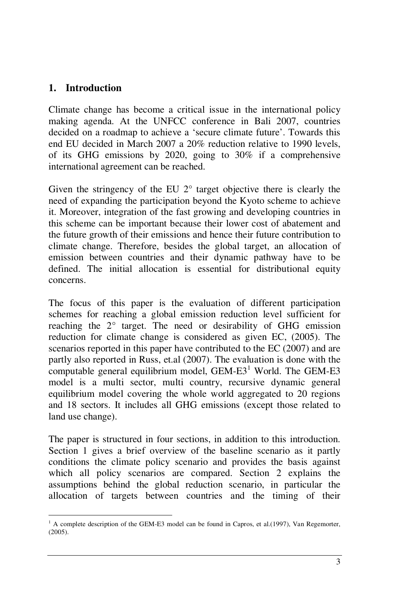#### **1. Introduction**

Climate change has become a critical issue in the international policy making agenda. At the UNFCC conference in Bali 2007, countries decided on a roadmap to achieve a 'secure climate future'. Towards this end EU decided in March 2007 a 20% reduction relative to 1990 levels, of its GHG emissions by 2020, going to 30% if a comprehensive international agreement can be reached.

Given the stringency of the EU  $2^{\circ}$  target objective there is clearly the need of expanding the participation beyond the Kyoto scheme to achieve it. Moreover, integration of the fast growing and developing countries in this scheme can be important because their lower cost of abatement and the future growth of their emissions and hence their future contribution to climate change. Therefore, besides the global target, an allocation of emission between countries and their dynamic pathway have to be defined. The initial allocation is essential for distributional equity concerns.

The focus of this paper is the evaluation of different participation schemes for reaching a global emission reduction level sufficient for reaching the 2° target. The need or desirability of GHG emission reduction for climate change is considered as given EC, (2005). The scenarios reported in this paper have contributed to the EC (2007) and are partly also reported in Russ, et.al (2007). The evaluation is done with the computable general equilibrium model,  $GEM-E3<sup>1</sup>$  World. The  $GEM-E3$ model is a multi sector, multi country, recursive dynamic general equilibrium model covering the whole world aggregated to 20 regions and 18 sectors. It includes all GHG emissions (except those related to land use change).

The paper is structured in four sections, in addition to this introduction. Section 1 gives a brief overview of the baseline scenario as it partly conditions the climate policy scenario and provides the basis against which all policy scenarios are compared. Section 2 explains the assumptions behind the global reduction scenario, in particular the allocation of targets between countries and the timing of their

 $<sup>1</sup>$  A complete description of the GEM-E3 model can be found in Capros, et al.(1997), Van Regemorter,</sup> (2005).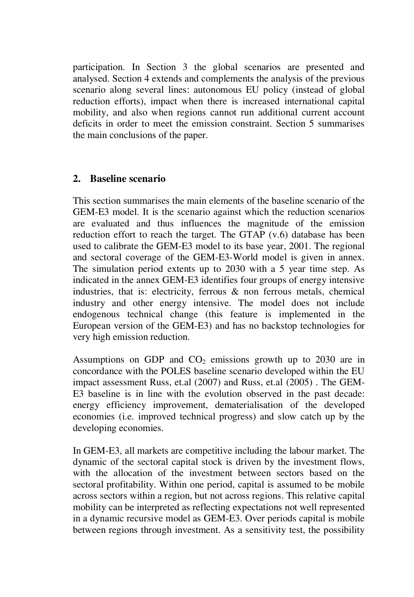participation. In Section 3 the global scenarios are presented and analysed. Section 4 extends and complements the analysis of the previous scenario along several lines: autonomous EU policy (instead of global reduction efforts), impact when there is increased international capital mobility, and also when regions cannot run additional current account deficits in order to meet the emission constraint. Section 5 summarises the main conclusions of the paper.

#### **2. Baseline scenario**

This section summarises the main elements of the baseline scenario of the GEM-E3 model. It is the scenario against which the reduction scenarios are evaluated and thus influences the magnitude of the emission reduction effort to reach the target. The GTAP (v.6) database has been used to calibrate the GEM-E3 model to its base year, 2001. The regional and sectoral coverage of the GEM-E3-World model is given in annex. The simulation period extents up to 2030 with a 5 year time step. As indicated in the annex GEM-E3 identifies four groups of energy intensive industries, that is: electricity, ferrous & non ferrous metals, chemical industry and other energy intensive. The model does not include endogenous technical change (this feature is implemented in the European version of the GEM-E3) and has no backstop technologies for very high emission reduction.

Assumptions on GDP and  $CO<sub>2</sub>$  emissions growth up to 2030 are in concordance with the POLES baseline scenario developed within the EU impact assessment Russ, et.al (2007) and Russ, et.al (2005) . The GEM-E3 baseline is in line with the evolution observed in the past decade: energy efficiency improvement, dematerialisation of the developed economies (i.e. improved technical progress) and slow catch up by the developing economies.

In GEM-E3, all markets are competitive including the labour market. The dynamic of the sectoral capital stock is driven by the investment flows, with the allocation of the investment between sectors based on the sectoral profitability. Within one period, capital is assumed to be mobile across sectors within a region, but not across regions. This relative capital mobility can be interpreted as reflecting expectations not well represented in a dynamic recursive model as GEM-E3. Over periods capital is mobile between regions through investment. As a sensitivity test, the possibility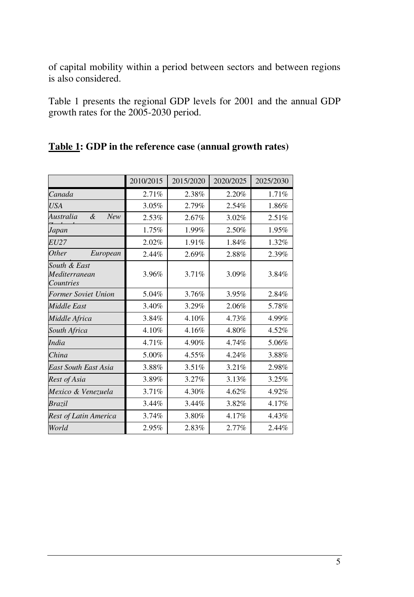of capital mobility within a period between sectors and between regions is also considered.

Table 1 presents the regional GDP levels for 2001 and the annual GDP growth rates for the 2005-2030 period.

|                                            | 2010/2015 | 2015/2020 | 2020/2025 | 2025/2030 |
|--------------------------------------------|-----------|-----------|-----------|-----------|
| Canada                                     | 2.71%     | 2.38%     | 2.20%     | 1.71%     |
| <b>USA</b>                                 | 3.05%     | 2.79%     | 2.54%     | 1.86%     |
| Australia<br>&<br><b>New</b>               | 2.53%     | 2.67%     | 3.02%     | 2.51%     |
| Japan                                      | 1.75%     | 1.99%     | 2.50%     | 1.95%     |
| <i>EU27</i>                                | 2.02%     | 1.91%     | 1.84%     | 1.32%     |
| Other<br>European                          | 2.44%     | 2.69%     | 2.88%     | 2.39%     |
| South & East<br>Mediterranean<br>Countries | 3.96%     | 3.71%     | 3.09%     | 3.84%     |
| Former Soviet Union                        | 5.04%     | 3.76%     | 3.95%     | 2.84%     |
| Middle East                                | 3.40%     | 3.29%     | 2.06%     | 5.78%     |
| Middle Africa                              | 3.84%     | 4.10%     | 4.73%     | 4.99%     |
| South Africa                               | 4.10%     | 4.16%     | 4.80%     | 4.52%     |
| <i>India</i>                               | 4.71%     | 4.90%     | 4.74%     | 5.06%     |
| China                                      | 5.00%     | 4.55%     | 4.24%     | 3.88%     |
| East South East Asia                       | 3.88%     | 3.51%     | 3.21%     | 2.98%     |
| Rest of Asia                               | 3.89%     | 3.27%     | 3.13%     | 3.25%     |
| Mexico & Venezuela                         | 3.71%     | 4.30%     | 4.62%     | 4.92%     |
| Brazil                                     | 3.44%     | 3.44%     | 3.82%     | 4.17%     |
| Rest of Latin America                      | 3.74%     | 3.80%     | 4.17%     | 4.43%     |
| World                                      | 2.95%     | 2.83%     | 2.77%     | 2.44%     |

#### **Table 1: GDP in the reference case (annual growth rates)**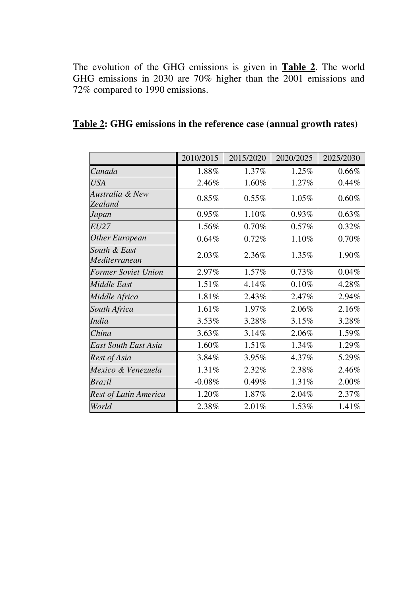The evolution of the GHG emissions is given in **Table 2**. The world GHG emissions in 2030 are 70% higher than the 2001 emissions and 72% compared to 1990 emissions.

|                               | 2010/2015 | 2015/2020 | 2020/2025 | 2025/2030 |
|-------------------------------|-----------|-----------|-----------|-----------|
| Canada                        | 1.88%     | 1.37%     | 1.25%     | 0.66%     |
| USA                           | 2.46%     | 1.60%     | 1.27%     | 0.44%     |
| Australia & New<br>Zealand    | $0.85\%$  | 0.55%     | 1.05%     | 0.60%     |
| Japan                         | 0.95%     | 1.10%     | 0.93%     | 0.63%     |
| <b>EU27</b>                   | 1.56%     | 0.70%     | 0.57%     | 0.32%     |
| <b>Other European</b>         | 0.64%     | 0.72%     | 1.10%     | 0.70%     |
| South & East<br>Mediterranean | $2.03\%$  | 2.36%     | 1.35%     | 1.90%     |
| <b>Former Soviet Union</b>    | 2.97%     | 1.57%     | 0.73%     | 0.04%     |
| <b>Middle East</b>            | 1.51%     | 4.14%     | 0.10%     | 4.28%     |
| Middle Africa                 | 1.81%     | 2.43%     | 2.47%     | 2.94%     |
| South Africa                  | 1.61%     | 1.97%     | 2.06%     | 2.16%     |
| <b>India</b>                  | 3.53%     | 3.28%     | 3.15%     | 3.28%     |
| China                         | 3.63%     | 3.14%     | 2.06%     | 1.59%     |
| <b>East South East Asia</b>   | 1.60%     | 1.51%     | 1.34%     | 1.29%     |
| Rest of Asia                  | 3.84%     | 3.95%     | 4.37%     | 5.29%     |
| Mexico & Venezuela            | 1.31%     | 2.32%     | 2.38%     | 2.46%     |
| Brazil                        | $-0.08\%$ | 0.49%     | 1.31%     | 2.00%     |
| Rest of Latin America         | 1.20%     | 1.87%     | 2.04%     | 2.37%     |
| World                         | 2.38%     | 2.01%     | 1.53%     | 1.41%     |

## **Table 2: GHG emissions in the reference case (annual growth rates)**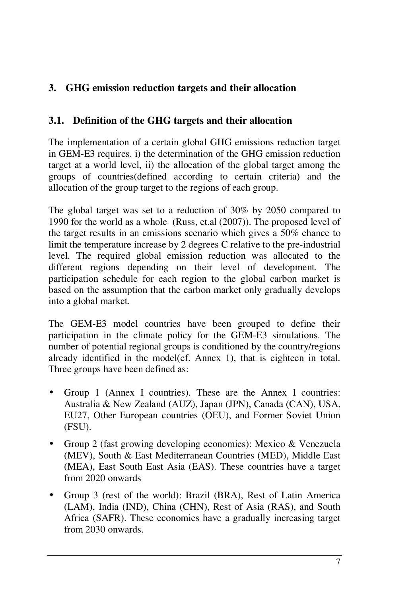## **3. GHG emission reduction targets and their allocation**

#### **3.1. Definition of the GHG targets and their allocation**

The implementation of a certain global GHG emissions reduction target in GEM-E3 requires. i) the determination of the GHG emission reduction target at a world level, ii) the allocation of the global target among the groups of countries(defined according to certain criteria) and the allocation of the group target to the regions of each group.

The global target was set to a reduction of 30% by 2050 compared to 1990 for the world as a whole (Russ, et.al (2007)). The proposed level of the target results in an emissions scenario which gives a 50% chance to limit the temperature increase by 2 degrees C relative to the pre-industrial level. The required global emission reduction was allocated to the different regions depending on their level of development. The participation schedule for each region to the global carbon market is based on the assumption that the carbon market only gradually develops into a global market.

The GEM-E3 model countries have been grouped to define their participation in the climate policy for the GEM-E3 simulations. The number of potential regional groups is conditioned by the country/regions already identified in the model(cf. Annex 1), that is eighteen in total. Three groups have been defined as:

- Group 1 (Annex I countries). These are the Annex I countries: Australia & New Zealand (AUZ), Japan (JPN), Canada (CAN), USA, EU27, Other European countries (OEU), and Former Soviet Union (FSU).
- Group 2 (fast growing developing economies): Mexico & Venezuela (MEV), South & East Mediterranean Countries (MED), Middle East (MEA), East South East Asia (EAS). These countries have a target from 2020 onwards
- Group 3 (rest of the world): Brazil (BRA), Rest of Latin America (LAM), India (IND), China (CHN), Rest of Asia (RAS), and South Africa (SAFR). These economies have a gradually increasing target from 2030 onwards.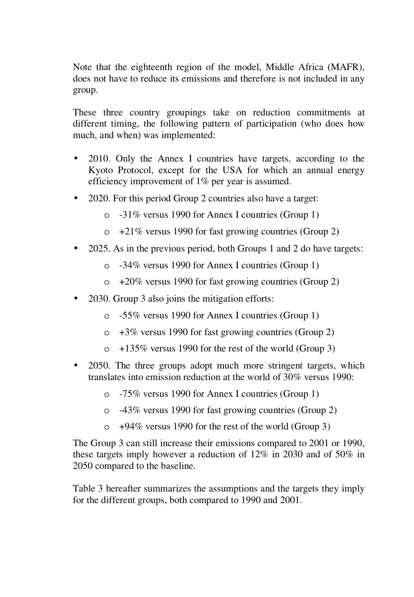Note that the eighteenth region of the model, Middle Africa (MAFR), does not have to reduce its emissions and therefore is not included in any group.

These three country groupings take on reduction commitments at different timing, the following pattern of participation (who does how much, and when) was implemented:

- 2010. Only the Annex I countries have targets, according to the Kyoto Protocol, except for the USA for which an annual energy efficiency improvement of 1% per year is assumed.
- 2020. For this period Group 2 countries also have a target:
	- o -31% versus 1990 for Annex I countries (Group 1)
	- $\circ$  +21% versus 1990 for fast growing countries (Group 2)
- 2025. As in the previous period, both Groups 1 and 2 do have targets:
	- o -34% versus 1990 for Annex I countries (Group 1)
	- $\circ$  +20% versus 1990 for fast growing countries (Group 2)
- 2030. Group 3 also joins the mitigation efforts:
	- o -55% versus 1990 for Annex I countries (Group 1)
	- $\circ$  +3% versus 1990 for fast growing countries (Group 2)
	- $\circ$  +135% versus 1990 for the rest of the world (Group 3)
- 2050. The three groups adopt much more stringent targets, which translates into emission reduction at the world of 30% versus 1990:
	- o -75% versus 1990 for Annex I countries (Group 1)
	- o -43% versus 1990 for fast growing countries (Group 2)
	- o +94% versus 1990 for the rest of the world (Group 3)

The Group 3 can still increase their emissions compared to 2001 or 1990, these targets imply however a reduction of 12% in 2030 and of 50% in 2050 compared to the baseline.

Table 3 hereafter summarizes the assumptions and the targets they imply for the different groups, both compared to 1990 and 2001.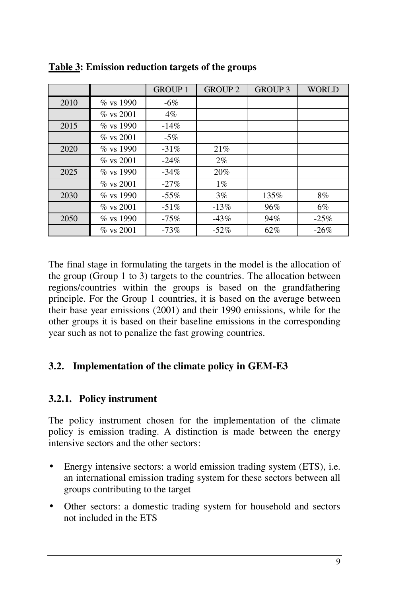|      |              | <b>GROUP 1</b> | <b>GROUP 2</b> | <b>GROUP 3</b> | <b>WORLD</b> |
|------|--------------|----------------|----------------|----------------|--------------|
| 2010 | $\%$ vs 1990 | $-6\%$         |                |                |              |
|      | $\%$ vs 2001 | $4\%$          |                |                |              |
| 2015 | $\%$ vs 1990 | $-14%$         |                |                |              |
|      | $\%$ vs 2001 | $-5\%$         |                |                |              |
| 2020 | $\%$ vs 1990 | $-31\%$        | 21%            |                |              |
|      | $\%$ vs 2001 | $-24%$         | $2\%$          |                |              |
| 2025 | $\%$ vs 1990 | $-34\%$        | 20%            |                |              |
|      | $\%$ vs 2001 | $-27%$         | $1\%$          |                |              |
| 2030 | $\%$ vs 1990 | $-55\%$        | $3\%$          | 135%           | 8%           |
|      | $\%$ vs 2001 | $-51\%$        | $-13\%$        | 96%            | 6%           |
| 2050 | $\%$ vs 1990 | $-75%$         | $-43\%$        | 94%            | $-25%$       |
|      | $\%$ vs 2001 | $-73%$         | $-52\%$        | 62%            | $-26%$       |

**Table 3: Emission reduction targets of the groups** 

The final stage in formulating the targets in the model is the allocation of the group (Group 1 to 3) targets to the countries. The allocation between regions/countries within the groups is based on the grandfathering principle. For the Group 1 countries, it is based on the average between their base year emissions (2001) and their 1990 emissions, while for the other groups it is based on their baseline emissions in the corresponding year such as not to penalize the fast growing countries.

## **3.2. Implementation of the climate policy in GEM-E3**

#### **3.2.1. Policy instrument**

The policy instrument chosen for the implementation of the climate policy is emission trading. A distinction is made between the energy intensive sectors and the other sectors:

- Energy intensive sectors: a world emission trading system (ETS), i.e. an international emission trading system for these sectors between all groups contributing to the target
- Other sectors: a domestic trading system for household and sectors not included in the ETS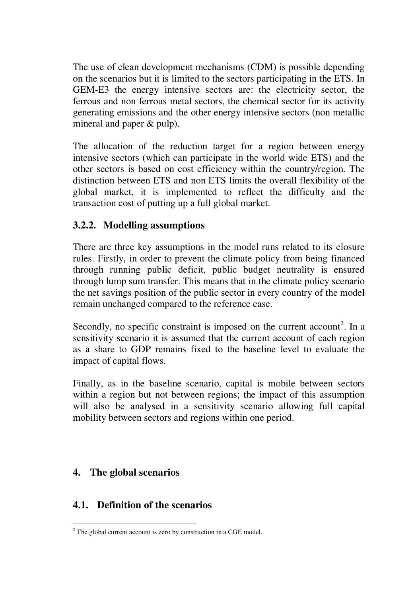The use of clean development mechanisms (CDM) is possible depending on the scenarios but it is limited to the sectors participating in the ETS. In GEM-E3 the energy intensive sectors are: the electricity sector, the ferrous and non ferrous metal sectors, the chemical sector for its activity generating emissions and the other energy intensive sectors (non metallic mineral and paper & pulp).

The allocation of the reduction target for a region between energy intensive sectors (which can participate in the world wide ETS) and the other sectors is based on cost efficiency within the country/region. The distinction between ETS and non ETS limits the overall flexibility of the global market, it is implemented to reflect the difficulty and the transaction cost of putting up a full global market.

#### **3.2.2. Modelling assumptions**

There are three key assumptions in the model runs related to its closure rules. Firstly, in order to prevent the climate policy from being financed through running public deficit, public budget neutrality is ensured through lump sum transfer. This means that in the climate policy scenario the net savings position of the public sector in every country of the model remain unchanged compared to the reference case.

Secondly, no specific constraint is imposed on the current  $account<sup>2</sup>$ . In a sensitivity scenario it is assumed that the current account of each region as a share to GDP remains fixed to the baseline level to evaluate the impact of capital flows.

Finally, as in the baseline scenario, capital is mobile between sectors within a region but not between regions; the impact of this assumption will also be analysed in a sensitivity scenario allowing full capital mobility between sectors and regions within one period.

## **4. The global scenarios**

## **4.1. Definition of the scenarios**

 $2$ <sup>2</sup> The global current account is zero by construction in a CGE model.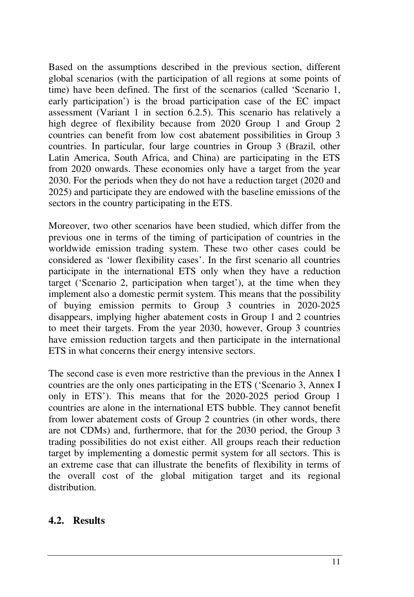Based on the assumptions described in the previous section, different global scenarios (with the participation of all regions at some points of time) have been defined. The first of the scenarios (called 'Scenario 1, early participation') is the broad participation case of the EC impact assessment (Variant 1 in section 6.2.5). This scenario has relatively a high degree of flexibility because from 2020 Group 1 and Group 2 countries can benefit from low cost abatement possibilities in Group 3 countries. In particular, four large countries in Group 3 (Brazil, other Latin America, South Africa, and China) are participating in the ETS from 2020 onwards. These economies only have a target from the year 2030. For the periods when they do not have a reduction target (2020 and 2025) and participate they are endowed with the baseline emissions of the sectors in the country participating in the ETS.

Moreover, two other scenarios have been studied, which differ from the previous one in terms of the timing of participation of countries in the worldwide emission trading system. These two other cases could be considered as 'lower flexibility cases'. In the first scenario all countries participate in the international ETS only when they have a reduction target ('Scenario 2, participation when target'), at the time when they implement also a domestic permit system. This means that the possibility of buying emission permits to Group 3 countries in 2020-2025 disappears, implying higher abatement costs in Group 1 and 2 countries to meet their targets. From the year 2030, however, Group 3 countries have emission reduction targets and then participate in the international ETS in what concerns their energy intensive sectors.

The second case is even more restrictive than the previous in the Annex I countries are the only ones participating in the ETS ('Scenario 3, Annex I only in ETS'). This means that for the 2020-2025 period Group 1 countries are alone in the international ETS bubble. They cannot benefit from lower abatement costs of Group 2 countries (in other words, there are not CDMs) and, furthermore, that for the 2030 period, the Group 3 trading possibilities do not exist either. All groups reach their reduction target by implementing a domestic permit system for all sectors. This is an extreme case that can illustrate the benefits of flexibility in terms of the overall cost of the global mitigation target and its regional distribution.

#### **4.2. Results**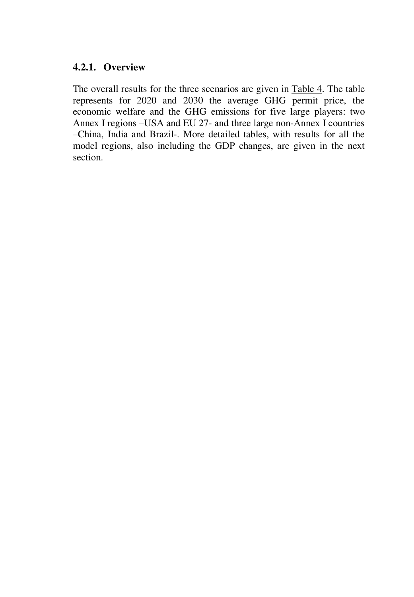#### **4.2.1. Overview**

The overall results for the three scenarios are given in Table 4. The table represents for 2020 and 2030 the average GHG permit price, the economic welfare and the GHG emissions for five large players: two Annex I regions –USA and EU 27- and three large non-Annex I countries –China, India and Brazil-. More detailed tables, with results for all the model regions, also including the GDP changes, are given in the next section.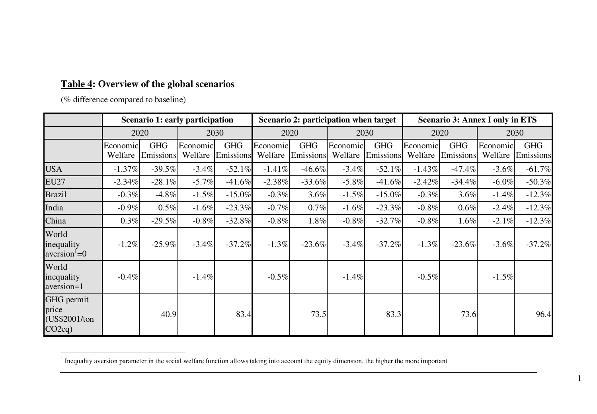#### **Table 4: Overview of the global scenarios**

(% difference compared to baseline)

|                                                    |                     | Scenario 1: early participation |                     |                         |                     | Scenario 2: participation when target |                     |                         |                     | <b>Scenario 3: Annex I only in ETS</b> |                     |                         |  |
|----------------------------------------------------|---------------------|---------------------------------|---------------------|-------------------------|---------------------|---------------------------------------|---------------------|-------------------------|---------------------|----------------------------------------|---------------------|-------------------------|--|
|                                                    | 2020                |                                 | 2030                |                         | 2020                |                                       | 2030                |                         |                     | 2020                                   | 2030                |                         |  |
|                                                    | Economic<br>Welfare | <b>GHG</b><br>Emissions         | Economic<br>Welfare | <b>GHG</b><br>Emissions | Economic<br>Welfare | <b>GHG</b><br>Emissions               | Economic<br>Welfare | <b>GHG</b><br>Emissions | Economic<br>Welfare | <b>GHG</b><br>Emissions                | Economic<br>Welfare | <b>GHG</b><br>Emissions |  |
| <b>USA</b>                                         | $-1.37%$            | $-39.5%$                        | $-3.4%$             | $-52.1%$                | $-1.41%$            | $-46.6%$                              | $-3.4%$             | $-52.1%$                | $-1.43%$            | $-47.4%$                               | $-3.6%$             | $-61.7%$                |  |
| <b>EU27</b>                                        | $-2.34%$            | $-28.1\%$                       | $-5.7\%$            | $-41.6%$                | $-2.38%$            | $-33.6%$                              | $-5.8\%$            | $-41.6%$                | $-2.42%$            | $-34.4\%$                              | $-6.0\%$            | $-50.3%$                |  |
| <b>Brazil</b>                                      | $-0.3\%$            | $-4.8\%$                        | $-1.5\%$            | $-15.0\%$               | $-0.3\%$            | 3.6%                                  | $-1.5\%$            | $-15.0\%$               | $-0.3\%$            | 3.6%                                   | $-1.4\%$            | $-12.3%$                |  |
| India                                              | $-0.9%$             | $0.5\%$                         | $-1.6%$             | $-23.3%$                | $-0.7%$             | $0.7\%$                               | $-1.6%$             | $-23.3%$                | $-0.8\%$            | $0.6\%$                                | $-2.4%$             | $-12.3%$                |  |
| China                                              | 0.3%                | $-29.5%$                        | $-0.8%$             | $-32.8%$                | $-0.8%$             | 1.8%                                  | $-0.8\%$            | $-32.7%$                | $-0.8\%$            | 1.6%                                   | $-2.1\%$            | $-12.3%$                |  |
| World<br>inequality<br>$aversion' = 0$             | $-1.2%$             | $-25.9%$                        | $-3.4%$             | $-37.2%$                | $-1.3%$             | $-23.6%$                              | $-3.4%$             | $-37.2%$                | $-1.3%$             | $-23.6%$                               | $-3.6\%$            | $-37.2%$                |  |
| World<br>inequality<br>aversion=1                  | $-0.4%$             |                                 | $-1.4%$             |                         | $-0.5%$             |                                       | $-1.4%$             |                         | $-0.5%$             |                                        | $-1.5%$             |                         |  |
| GHG permit<br>price<br>(US\$2001/ton)<br>$CO2eq$ ) |                     | 40.9                            |                     | 83.4                    |                     | 73.5                                  |                     | 83.3                    |                     | 73.6                                   |                     | 96.4                    |  |

<sup>&</sup>lt;sup>1</sup> Inequality aversion parameter in the social welfare function allows taking into account the equity dimension, the higher the more important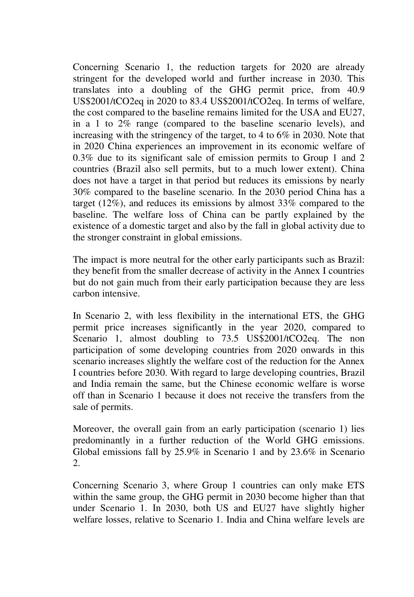Concerning Scenario 1, the reduction targets for 2020 are already stringent for the developed world and further increase in 2030. This translates into a doubling of the GHG permit price, from 40.9 US\$2001/tCO2eq in 2020 to 83.4 US\$2001/tCO2eq. In terms of welfare, the cost compared to the baseline remains limited for the USA and EU27, in a 1 to 2% range (compared to the baseline scenario levels), and increasing with the stringency of the target, to 4 to 6% in 2030. Note that in 2020 China experiences an improvement in its economic welfare of 0.3% due to its significant sale of emission permits to Group 1 and 2 countries (Brazil also sell permits, but to a much lower extent). China does not have a target in that period but reduces its emissions by nearly 30% compared to the baseline scenario. In the 2030 period China has a target (12%), and reduces its emissions by almost 33% compared to the baseline. The welfare loss of China can be partly explained by the existence of a domestic target and also by the fall in global activity due to the stronger constraint in global emissions.

The impact is more neutral for the other early participants such as Brazil: they benefit from the smaller decrease of activity in the Annex I countries but do not gain much from their early participation because they are less carbon intensive.

In Scenario 2, with less flexibility in the international ETS, the GHG permit price increases significantly in the year 2020, compared to Scenario 1, almost doubling to 73.5 US\$2001/tCO2eq. The non participation of some developing countries from 2020 onwards in this scenario increases slightly the welfare cost of the reduction for the Annex I countries before 2030. With regard to large developing countries, Brazil and India remain the same, but the Chinese economic welfare is worse off than in Scenario 1 because it does not receive the transfers from the sale of permits.

Moreover, the overall gain from an early participation (scenario 1) lies predominantly in a further reduction of the World GHG emissions. Global emissions fall by 25.9% in Scenario 1 and by 23.6% in Scenario 2.

Concerning Scenario 3, where Group 1 countries can only make ETS within the same group, the GHG permit in 2030 become higher than that under Scenario 1. In 2030, both US and EU27 have slightly higher welfare losses, relative to Scenario 1. India and China welfare levels are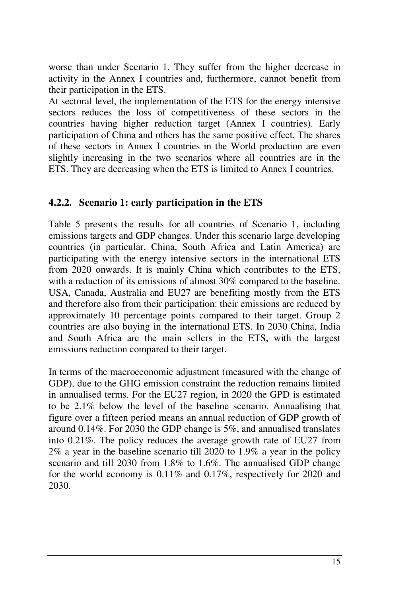worse than under Scenario 1. They suffer from the higher decrease in activity in the Annex I countries and, furthermore, cannot benefit from their participation in the ETS.

At sectoral level, the implementation of the ETS for the energy intensive sectors reduces the loss of competitiveness of these sectors in the countries having higher reduction target (Annex I countries). Early participation of China and others has the same positive effect. The shares of these sectors in Annex I countries in the World production are even slightly increasing in the two scenarios where all countries are in the ETS. They are decreasing when the ETS is limited to Annex I countries.

#### **4.2.2. Scenario 1: early participation in the ETS**

Table 5 presents the results for all countries of Scenario 1, including emissions targets and GDP changes. Under this scenario large developing countries (in particular, China, South Africa and Latin America) are participating with the energy intensive sectors in the international ETS from 2020 onwards. It is mainly China which contributes to the ETS, with a reduction of its emissions of almost 30% compared to the baseline. USA, Canada, Australia and EU27 are benefiting mostly from the ETS and therefore also from their participation: their emissions are reduced by approximately 10 percentage points compared to their target. Group 2 countries are also buying in the international ETS. In 2030 China, India and South Africa are the main sellers in the ETS, with the largest emissions reduction compared to their target.

In terms of the macroeconomic adjustment (measured with the change of GDP), due to the GHG emission constraint the reduction remains limited in annualised terms. For the EU27 region, in 2020 the GPD is estimated to be 2.1% below the level of the baseline scenario. Annualising that figure over a fifteen period means an annual reduction of GDP growth of around 0.14%. For 2030 the GDP change is 5%, and annualised translates into 0.21%. The policy reduces the average growth rate of EU27 from 2% a year in the baseline scenario till 2020 to 1.9% a year in the policy scenario and till 2030 from 1.8% to 1.6%. The annualised GDP change for the world economy is 0.11% and 0.17%, respectively for 2020 and 2030.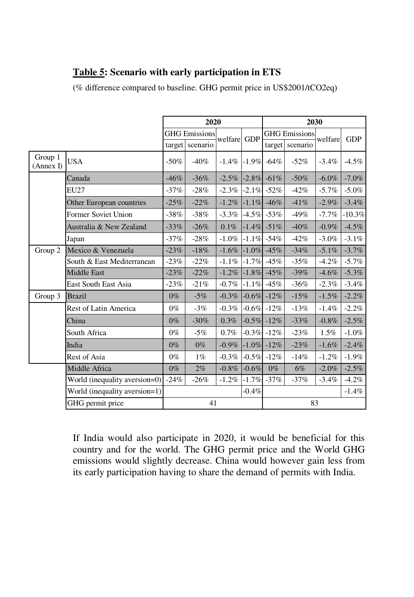## **Table 5: Scenario with early participation in ETS**

(% difference compared to baseline. GHG permit price in US\$2001/tCO2eq)

|                      |                               | 2020            |                      |          |            |         | 2030                 |          |            |  |
|----------------------|-------------------------------|-----------------|----------------------|----------|------------|---------|----------------------|----------|------------|--|
|                      |                               |                 | <b>GHG</b> Emissions | welfare  | <b>GDP</b> |         | <b>GHG</b> Emissions |          |            |  |
|                      |                               | target scenario |                      |          |            | target  | scenario             | welfare  | <b>GDP</b> |  |
| Group 1<br>(Annex I) | <b>USA</b>                    | $-50\%$         | $-40%$               | $-1.4\%$ | $-1.9%$    | $-64%$  | $-52%$               | $-3.4%$  | $-4.5%$    |  |
|                      | Canada                        | $-46\%$         | $-36%$               | $-2.5\%$ | $-2.8\%$   | $-61\%$ | $-50%$               | $-6.0\%$ | $-7.0\%$   |  |
|                      | <b>EU27</b>                   | $-37\%$         | $-28%$               | $-2.3\%$ | $-2.1\%$   | $-52%$  | $-42%$               | $-5.7\%$ | $-5.0\%$   |  |
|                      | Other European countries      | $-25%$          | $-22%$               | $-1.2%$  | $-1.1\%$   | $-46%$  | $-41%$               | $-2.9%$  | $-3.4%$    |  |
|                      | Former Soviet Union           | $-38%$          | $-38%$               | $-3.3\%$ | $-4.5\%$   | $-53%$  | $-49%$               | $-7.7\%$ | $-10.3%$   |  |
|                      | Australia & New Zealand       | $-33%$          | $-26%$               | 0.1%     | $-1.4\%$   | $-51%$  | $-40%$               | $-0.9\%$ | $-4.5%$    |  |
|                      | Japan                         | $-37%$          | $-28%$               | $-1.0%$  | $-1.1%$    | $-54%$  | $-42%$               | $-3.0\%$ | $-3.1%$    |  |
| Group 2              | Mexico & Venezuela            | $-23%$          | $-18%$               | $-1.6\%$ | $-1.0\%$   | $-45%$  | $-34%$               | $-5.1\%$ | $-3.7%$    |  |
|                      | South & East Mediterranean    | $-23%$          | $-22%$               | $-1.1\%$ | $-1.7%$    | $-45%$  | $-35%$               | $-4.2%$  | $-5.7%$    |  |
|                      | <b>Middle East</b>            | $-23%$          | $-22%$               | $-1.2\%$ | $-1.8\%$   | $-45%$  | $-39\%$              | $-4.6%$  | $-5.3\%$   |  |
|                      | East South East Asia          | $-23%$          | $-21%$               | $-0.7\%$ | $-1.1%$    | $-45%$  | $-36%$               | $-2.3%$  | $-3.4%$    |  |
| Group 3              | <b>Brazil</b>                 | $0\%$           | $-5%$                | $-0.3\%$ | $-0.6\%$   | $-12%$  | $-15%$               | $-1.5%$  | $-2.2\%$   |  |
|                      | <b>Rest of Latin America</b>  | $0\%$           | $-3%$                | $-0.3\%$ | $-0.6\%$   | $-12%$  | $-13%$               | $-1.4%$  | $-2.2%$    |  |
|                      | China                         | $0\%$           | $-30%$               | 0.3%     | $-0.5\%$   | $-12%$  | $-33%$               | $-0.8%$  | $-2.5%$    |  |
|                      | South Africa                  | $0\%$           | $-5%$                | 0.7%     | $-0.3%$    | $-12%$  | $-23%$               | $1.5\%$  | $-1.0%$    |  |
|                      | India                         | $0\%$           | $0\%$                | $-0.9\%$ | $-1.0\%$   | $-12%$  | $-23%$               | $-1.6%$  | $-2.4%$    |  |
|                      | Rest of Asia                  | $0\%$           | $1\%$                | $-0.3\%$ | $-0.5%$    | $-12%$  | $-14%$               | $-1.2%$  | $-1.9%$    |  |
|                      | Middle Africa                 | $0\%$           | 2%                   | $-0.8\%$ | $-0.6%$    | $0\%$   | $6\%$                | $-2.0%$  | $-2.5%$    |  |
|                      | World (inequality aversion=0) |                 | $-26%$               | $-1.2\%$ | $-1.7%$    | $-37%$  | $-37%$               | $-3.4\%$ | $-4.2%$    |  |
|                      | World (inequality aversion=1) |                 |                      | $-0.4\%$ |            |         | $-1.4%$              |          |            |  |
|                      | GHG permit price              |                 | 41                   |          |            |         | 83                   |          |            |  |

If India would also participate in 2020, it would be beneficial for this country and for the world. The GHG permit price and the World GHG emissions would slightly decrease. China would however gain less from its early participation having to share the demand of permits with India.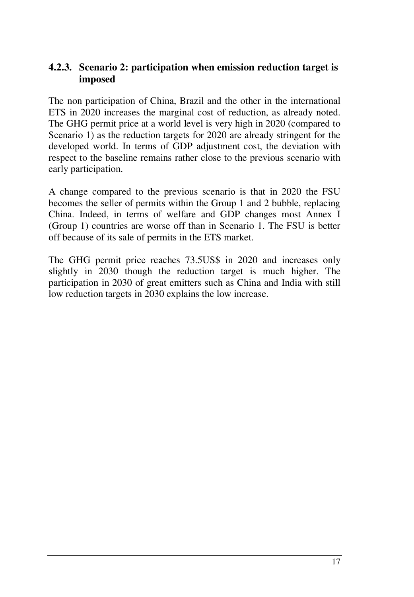#### **4.2.3. Scenario 2: participation when emission reduction target is imposed**

The non participation of China, Brazil and the other in the international ETS in 2020 increases the marginal cost of reduction, as already noted. The GHG permit price at a world level is very high in 2020 (compared to Scenario 1) as the reduction targets for 2020 are already stringent for the developed world. In terms of GDP adjustment cost, the deviation with respect to the baseline remains rather close to the previous scenario with early participation.

A change compared to the previous scenario is that in 2020 the FSU becomes the seller of permits within the Group 1 and 2 bubble, replacing China. Indeed, in terms of welfare and GDP changes most Annex I (Group 1) countries are worse off than in Scenario 1. The FSU is better off because of its sale of permits in the ETS market.

The GHG permit price reaches 73.5US\$ in 2020 and increases only slightly in 2030 though the reduction target is much higher. The participation in 2030 of great emitters such as China and India with still low reduction targets in 2030 explains the low increase.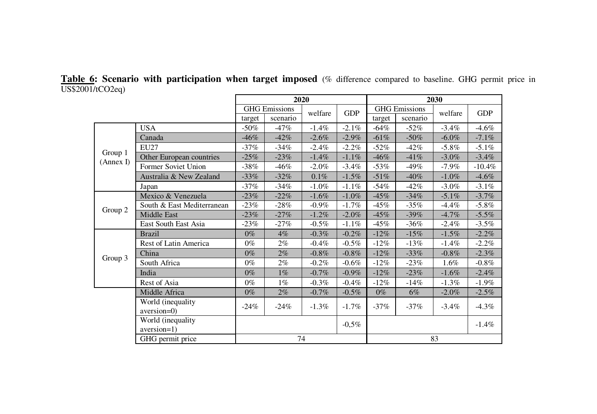**Table 6: Scenario with participation when target imposed** (% difference compared to baseline. GHG permit price in US\$2001/tCO2eq) ÷

|                      |                                  | 2020    |                                               |          |          |         | 2030                 |          |            |  |
|----------------------|----------------------------------|---------|-----------------------------------------------|----------|----------|---------|----------------------|----------|------------|--|
|                      |                                  |         | <b>GHG</b> Emissions<br><b>GDP</b><br>welfare |          |          |         | <b>GHG</b> Emissions | welfare  | <b>GDP</b> |  |
|                      |                                  | target  | scenario                                      |          |          | target  | scenario             |          |            |  |
|                      | <b>USA</b>                       | $-50\%$ | $-47%$                                        | $-1.4%$  | $-2.1%$  | $-64\%$ | $-52\%$              | $-3.4\%$ | $-4.6\%$   |  |
|                      | Canada                           | $-46%$  | $-42%$                                        | $-2.6\%$ | $-2.9\%$ | $-61%$  | $-50\%$              | $-6.0\%$ | $-7.1\%$   |  |
|                      | <b>EU27</b>                      | $-37%$  | $-34%$                                        | $-2.4%$  | $-2.2\%$ | $-52\%$ | $-42%$               | $-5.8\%$ | $-5.1\%$   |  |
| Group 1<br>(Annex I) | Other European countries         | $-25%$  | $-23%$                                        | $-1.4%$  | $-1.1%$  | $-46%$  | $-41%$               | $-3.0\%$ | $-3.4\%$   |  |
|                      | Former Soviet Union              | $-38%$  | $-46\%$                                       | $-2.0%$  | $-3.4%$  | $-53%$  | $-49\%$              | $-7.9\%$ | $-10.4%$   |  |
|                      | Australia & New Zealand          | $-33%$  | $-32%$                                        | 0.1%     | $-1.5%$  | $-51%$  | $-40%$               | $-1.0\%$ | $-4.6\%$   |  |
|                      | Japan                            | $-37%$  | $-34%$                                        | $-1.0%$  | $-1.1\%$ | $-54%$  | $-42%$               | $-3.0\%$ | $-3.1\%$   |  |
|                      | Mexico & Venezuela               | $-23%$  | $-22%$                                        | $-1.6%$  | $-1.0%$  | $-45%$  | $-34%$               | $-5.1\%$ | $-3.7\%$   |  |
|                      | South & East Mediterranean       | $-23%$  | $-28%$                                        | $-0.9\%$ | $-1.7%$  | $-45%$  | $-35%$               | $-4.4%$  | $-5.8\%$   |  |
| Group 2              | Middle East                      | $-23%$  | $-27%$                                        | $-1.2%$  | $-2.0%$  | $-45%$  | $-39%$               | $-4.7%$  | $-5.5\%$   |  |
|                      | East South East Asia             | $-23%$  | $-27%$                                        | $-0.5\%$ | $-1.1\%$ | $-45%$  | $-36%$               | $-2.4%$  | $-3.5\%$   |  |
|                      | <b>Brazil</b>                    | $0\%$   | $4\%$                                         | $-0.3%$  | $-0.2%$  | $-12%$  | $-15%$               | $-1.5\%$ | $-2.2\%$   |  |
|                      | Rest of Latin America            | $0\%$   | $2\%$                                         | $-0.4%$  | $-0.5\%$ | $-12\%$ | $-13%$               | $-1.4%$  | $-2.2\%$   |  |
| Group 3              | China                            | $0\%$   | $2\%$                                         | $-0.8%$  | $-0.8%$  | $-12%$  | $-33%$               | $-0.8%$  | $-2.3\%$   |  |
|                      | South Africa                     | $0\%$   | $2\%$                                         | $-0.2\%$ | $-0.6%$  | $-12%$  | $-23%$               | 1.6%     | $-0.8\%$   |  |
|                      | India                            | $0\%$   | $1\%$                                         | $-0.7\%$ | $-0.9\%$ | $-12%$  | $-23%$               | $-1.6\%$ | $-2.4\%$   |  |
|                      | Rest of Asia                     | $0\%$   | $1\%$                                         | $-0.3\%$ | $-0.4%$  | $-12%$  | $-14%$               | $-1.3\%$ | $-1.9\%$   |  |
|                      | Middle Africa                    | $0\%$   | $2\%$                                         | $-0.7\%$ | $-0.5\%$ | $0\%$   | $6\%$                | $-2.0\%$ | $-2.5\%$   |  |
|                      | World (inequality<br>aversion=0) | $-24%$  | $-24%$                                        | $-1.3\%$ | $-1.7%$  | $-37%$  | $-37\%$              | $-3.4\%$ | $-4.3\%$   |  |
|                      | World (inequality<br>aversion=1) |         |                                               |          | $-0,5%$  |         |                      |          | $-1.4%$    |  |
|                      | GHG permit price                 |         | 74                                            |          |          |         |                      | 83       |            |  |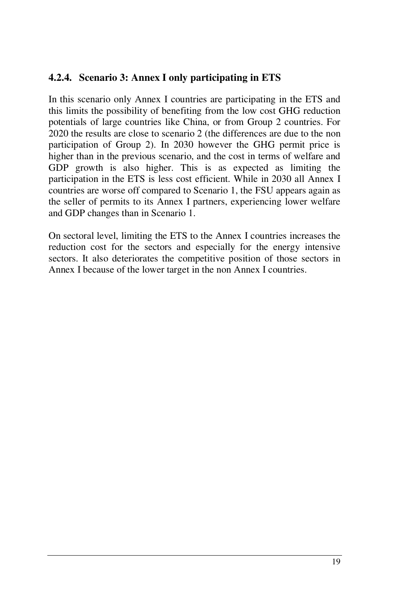## **4.2.4. Scenario 3: Annex I only participating in ETS**

In this scenario only Annex I countries are participating in the ETS and this limits the possibility of benefiting from the low cost GHG reduction potentials of large countries like China, or from Group 2 countries. For 2020 the results are close to scenario 2 (the differences are due to the non participation of Group 2). In 2030 however the GHG permit price is higher than in the previous scenario, and the cost in terms of welfare and GDP growth is also higher. This is as expected as limiting the participation in the ETS is less cost efficient. While in 2030 all Annex I countries are worse off compared to Scenario 1, the FSU appears again as the seller of permits to its Annex I partners, experiencing lower welfare and GDP changes than in Scenario 1.

On sectoral level, limiting the ETS to the Annex I countries increases the reduction cost for the sectors and especially for the energy intensive sectors. It also deteriorates the competitive position of those sectors in Annex I because of the lower target in the non Annex I countries.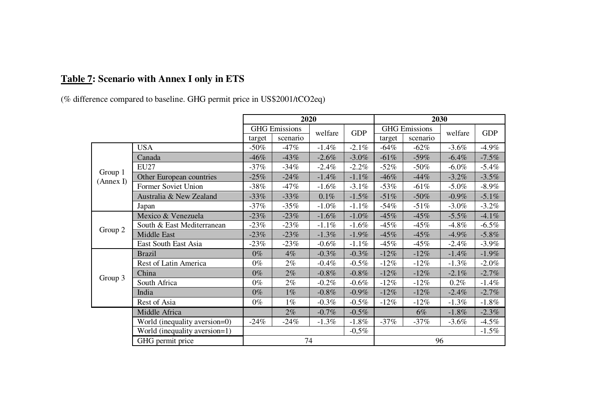## **Table 7: Scenario with Annex I only in ETS**

(% difference compared to baseline. GHG permit price in US\$2001/tCO2eq)

|           |                               | 2020    |                                 |          |            |         | 2030                 |          |            |  |
|-----------|-------------------------------|---------|---------------------------------|----------|------------|---------|----------------------|----------|------------|--|
|           |                               |         | <b>GHG</b> Emissions<br>welfare |          |            |         | <b>GHG</b> Emissions | welfare  | <b>GDP</b> |  |
|           |                               | target  | scenario                        |          | <b>GDP</b> | target  | scenario             |          |            |  |
|           | <b>USA</b>                    | $-50\%$ | $-47%$                          | $-1.4%$  | $-2.1%$    | $-64\%$ | $-62%$               | $-3.6%$  | $-4.9\%$   |  |
|           | Canada                        | $-46%$  | $-43%$                          | $-2.6%$  | $-3.0%$    | $-61%$  | $-59%$               | $-6.4%$  | $-7.5%$    |  |
|           | <b>EU27</b>                   | -37%    | $-34%$                          | $-2.4\%$ | $-2.2\%$   | $-52\%$ | $-50\%$              | $-6.0\%$ | $-5.4\%$   |  |
| Group 1   | Other European countries      | $-25\%$ | $-24%$                          | $-1.4\%$ | $-1.1%$    | $-46%$  | $-44%$               | $-3.2\%$ | $-3.5\%$   |  |
| (Annex I) | Former Soviet Union           | $-38%$  | $-47%$                          | $-1.6%$  | $-3.1\%$   | $-53%$  | $-61%$               | $-5.0\%$ | $-8.9\%$   |  |
|           | Australia & New Zealand       | $-33\%$ | $-33\%$                         | 0.1%     | $-1.5\%$   | $-51%$  | $-50\%$              | $-0.9\%$ | $-5.1\%$   |  |
|           | Japan                         | $-37\%$ | $-35%$                          | $-1.0\%$ | $-1.1%$    | $-54%$  | $-51%$               | $-3.0\%$ | $-3.2\%$   |  |
|           | Mexico & Venezuela            | $-23%$  | $-23%$                          | $-1.6%$  | $-1.0%$    | $-45%$  | $-45%$               | $-5.5\%$ | $-4.1\%$   |  |
| Group 2   | South & East Mediterranean    | $-23%$  | $-23%$                          | $-1.1\%$ | $-1.6%$    | $-45%$  | $-45%$               | $-4.8\%$ | $-6.5\%$   |  |
|           | Middle East                   | $-23%$  | $-23%$                          | $-1.3\%$ | $-1.9%$    | $-45%$  | $-45%$               | $-4.9\%$ | $-5.8\%$   |  |
|           | East South East Asia          | $-23%$  | $-23\%$                         | $-0.6\%$ | $-1.1%$    | $-45%$  | $-45\%$              | $-2.4\%$ | $-3.9\%$   |  |
|           | <b>Brazil</b>                 | $0\%$   | $4\%$                           | $-0.3\%$ | $-0.3%$    | $-12%$  | $-12\%$              | $-1.4%$  | $-1.9\%$   |  |
|           | Rest of Latin America         | $0\%$   | $2\%$                           | $-0.4%$  | $-0.5\%$   | $-12\%$ | $-12\%$              | $-1.3\%$ | $-2.0\%$   |  |
|           | China                         | $0\%$   | $2\%$                           | $-0.8\%$ | $-0.8%$    | $-12%$  | $-12\%$              | $-2.1\%$ | $-2.7%$    |  |
| Group 3   | South Africa                  | $0\%$   | $2\%$                           | $-0.2\%$ | $-0.6%$    | $-12\%$ | $-12\%$              | $0.2\%$  | $-1.4\%$   |  |
|           | India                         | $0\%$   | $1\%$                           | $-0.8\%$ | $-0.9\%$   | $-12%$  | $-12%$               | $-2.4%$  | $-2.7%$    |  |
|           | Rest of Asia                  | $0\%$   | $1\%$                           | $-0.3\%$ | $-0.5\%$   | $-12%$  | $-12\%$              | $-1.3%$  | $-1.8\%$   |  |
|           | Middle Africa                 |         | $2\%$                           | $-0.7%$  | $-0.5%$    |         | $6\%$                | $-1.8%$  | $-2.3%$    |  |
|           | World (inequality aversion=0) | $-24%$  | $-24\%$                         | $-1.3\%$ | $-1.8%$    | $-37%$  | $-37%$               | $-3.6\%$ | $-4.5\%$   |  |
|           | World (inequality aversion=1) |         |                                 |          | $-0.5\%$   |         |                      |          | $-1.5\%$   |  |
|           | GHG permit price              |         | 74                              |          |            |         | 96                   |          |            |  |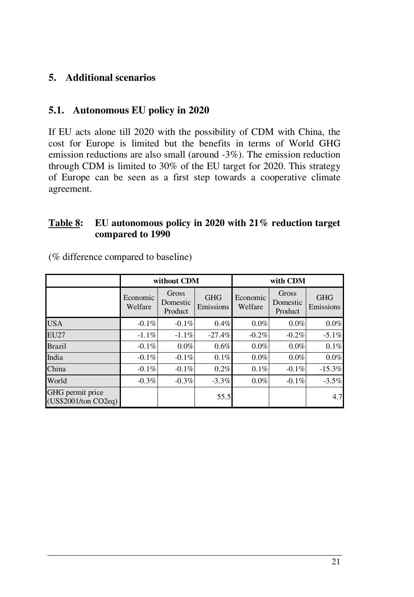## **5. Additional scenarios**

#### **5.1. Autonomous EU policy in 2020**

If EU acts alone till 2020 with the possibility of CDM with China, the cost for Europe is limited but the benefits in terms of World GHG emission reductions are also small (around -3%). The emission reduction through CDM is limited to 30% of the EU target for 2020. This strategy of Europe can be seen as a first step towards a cooperative climate agreement.

#### **Table 8: EU autonomous policy in 2020 with 21% reduction target compared to 1990**

|                                          |                     | without CDM                  |                         | with CDM            |                              |                         |  |  |
|------------------------------------------|---------------------|------------------------------|-------------------------|---------------------|------------------------------|-------------------------|--|--|
|                                          | Economic<br>Welfare | Gross<br>Domestic<br>Product | <b>GHG</b><br>Emissions | Economic<br>Welfare | Gross<br>Domestic<br>Product | <b>GHG</b><br>Emissions |  |  |
| <b>USA</b>                               | $-0.1\%$            | $-0.1\%$                     | 0.4%                    | 0.0%                | $0.0\%$                      | 0.0%                    |  |  |
| <b>EU27</b>                              | $-1.1\%$            | $-1.1\%$                     | $-27.4%$                | $-0.2%$             | $-0.2\%$                     | $-5.1\%$                |  |  |
| <b>Brazil</b>                            | $-0.1\%$            | 0.0%                         | 0.6%                    | $0.0\%$             | $0.0\%$                      | 0.1%                    |  |  |
| India                                    | $-0.1\%$            | $-0.1\%$                     | 0.1%                    | 0.0%                | $0.0\%$                      | 0.0%                    |  |  |
| China                                    | $-0.1\%$            | $-0.1\%$                     | 0.2%                    | 0.1%                | $-0.1\%$                     | $-15.3%$                |  |  |
| World                                    | $-0.3\%$            | $-0.3\%$                     | $-3.3\%$                | 0.0%                | $-0.1\%$                     | $-3.5\%$                |  |  |
| GHG permit price<br>(US\$2001/ton CO2eq) |                     |                              | 55.5                    |                     |                              | 4.7                     |  |  |

(% difference compared to baseline)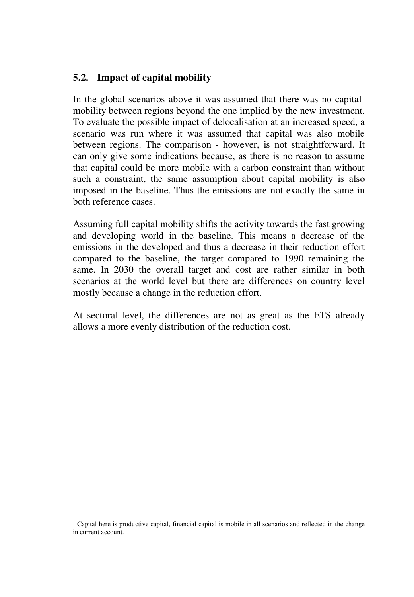#### **5.2. Impact of capital mobility**

In the global scenarios above it was assumed that there was no capital mobility between regions beyond the one implied by the new investment. To evaluate the possible impact of delocalisation at an increased speed, a scenario was run where it was assumed that capital was also mobile between regions. The comparison - however, is not straightforward. It can only give some indications because, as there is no reason to assume that capital could be more mobile with a carbon constraint than without such a constraint, the same assumption about capital mobility is also imposed in the baseline. Thus the emissions are not exactly the same in both reference cases.

Assuming full capital mobility shifts the activity towards the fast growing and developing world in the baseline. This means a decrease of the emissions in the developed and thus a decrease in their reduction effort compared to the baseline, the target compared to 1990 remaining the same. In 2030 the overall target and cost are rather similar in both scenarios at the world level but there are differences on country level mostly because a change in the reduction effort.

At sectoral level, the differences are not as great as the ETS already allows a more evenly distribution of the reduction cost.

<sup>&</sup>lt;sup>1</sup> Capital here is productive capital, financial capital is mobile in all scenarios and reflected in the change in current account.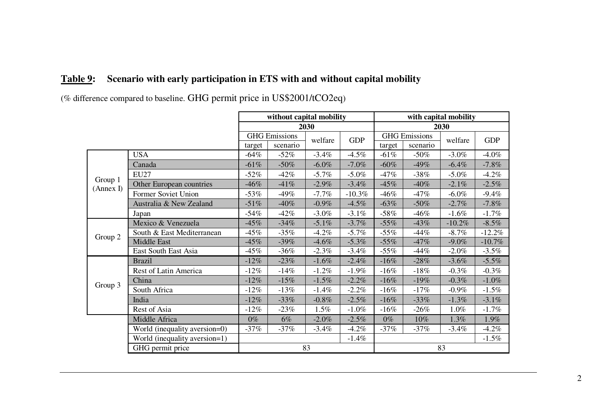## **Table 9: Scenario with early participation in ETS with and without capital mobility**

(% difference compared to baseline. GHG permit price in US\$2001/tCO2eq)

|                      |                               |         | without capital mobility |                       |          |        | with capital mobility |          |            |  |
|----------------------|-------------------------------|---------|--------------------------|-----------------------|----------|--------|-----------------------|----------|------------|--|
|                      |                               |         |                          | 2030                  |          |        |                       | 2030     |            |  |
|                      |                               |         | <b>GHG</b> Emissions     | <b>GDP</b><br>welfare |          |        | <b>GHG</b> Emissions  | welfare  | <b>GDP</b> |  |
|                      |                               | target  | scenario                 |                       |          | target | scenario              |          |            |  |
|                      | <b>USA</b>                    | $-64%$  | $-52\%$                  | $-3.4\%$              | $-4.5\%$ | $-61%$ | $-50\%$               | $-3.0\%$ | $-4.0\%$   |  |
|                      | Canada                        | $-61%$  | $-50\%$                  | $-6.0\%$              | $-7.0\%$ | $-60%$ | $-49%$                | $-6.4\%$ | $-7.8\%$   |  |
|                      | EU27                          | $-52\%$ | $-42%$                   | $-5.7\%$              | $-5.0\%$ | $-47%$ | $-38%$                | $-5.0\%$ | $-4.2\%$   |  |
| Group 1<br>(Annex I) | Other European countries      | $-46%$  | $-41%$                   | $-2.9\%$              | $-3.4\%$ | $-45%$ | $-40%$                | $-2.1\%$ | $-2.5\%$   |  |
|                      | Former Soviet Union           | $-53%$  | $-49%$                   | $-7.7\%$              | $-10.3%$ | $-46%$ | $-47%$                | $-6.0\%$ | $-9.4\%$   |  |
|                      | Australia & New Zealand       | $-51%$  | $-40%$                   | $-0.9\%$              | $-4.5\%$ | $-63%$ | $-50%$                | $-2.7\%$ | $-7.8\%$   |  |
|                      | Japan                         | $-54%$  | $-42%$                   | $-3.0\%$              | $-3.1\%$ | $-58%$ | $-46%$                | $-1.6\%$ | $-1.7\%$   |  |
|                      | Mexico & Venezuela            | $-45%$  | $-34%$                   | $-5.1\%$              | $-3.7\%$ | $-55%$ | $-43%$                | $-10.2%$ | $-8.5\%$   |  |
| Group 2              | South & East Mediterranean    | $-45%$  | $-35%$                   | $-4.2\%$              | $-5.7\%$ | $-55%$ | $-44%$                | $-8.7\%$ | $-12.2%$   |  |
|                      | Middle East                   | $-45%$  | $-39%$                   | $-4.6\%$              | $-5.3\%$ | $-55%$ | $-47%$                | $-9.0\%$ | $-10.7%$   |  |
|                      | East South East Asia          | $-45%$  | $-36%$                   | $-2.3\%$              | $-3.4\%$ | $-55%$ | $-44%$                | $-2.0\%$ | $-3.5\%$   |  |
|                      | <b>Brazil</b>                 | $-12%$  | $-23%$                   | $-1.6\%$              | $-2.4%$  | $-16%$ | $-28%$                | $-3.6\%$ | $-5.5\%$   |  |
|                      | Rest of Latin America         | $-12%$  | $-14%$                   | $-1.2\%$              | $-1.9\%$ | $-16%$ | $-18%$                | $-0.3\%$ | $-0.3\%$   |  |
|                      | China                         | $-12%$  | $-15%$                   | $-1.5\%$              | $-2.2\%$ | $-16%$ | $-19%$                | $-0.3\%$ | $-1.0\%$   |  |
| Group 3              | South Africa                  | $-12%$  | $-13%$                   | $-1.4%$               | $-2.2\%$ | $-16%$ | $-17%$                | $-0.9\%$ | $-1.5\%$   |  |
|                      | India                         | $-12%$  | $-33%$                   | $-0.8\%$              | $-2.5%$  | $-16%$ | $-33%$                | $-1.3\%$ | $-3.1\%$   |  |
|                      | Rest of Asia                  | $-12%$  | $-23%$                   | 1.5%                  | $-1.0%$  | $-16%$ | $-26%$                | 1.0%     | $-1.7\%$   |  |
|                      | Middle Africa                 | $0\%$   | $6\%$                    | $-2.0\%$              | $-2.5\%$ | $0\%$  | $10\%$                | $1.3\%$  | $1.9\%$    |  |
|                      | World (inequality aversion=0) | $-37%$  | $-37%$                   | $-3.4\%$              | $-4.2\%$ | $-37%$ | $-37%$                | $-3.4\%$ | $-4.2\%$   |  |
|                      | World (inequality aversion=1) |         |                          |                       | $-1.4\%$ |        |                       |          | $-1.5\%$   |  |
|                      | GHG permit price              |         |                          | 83                    |          | 83     |                       |          |            |  |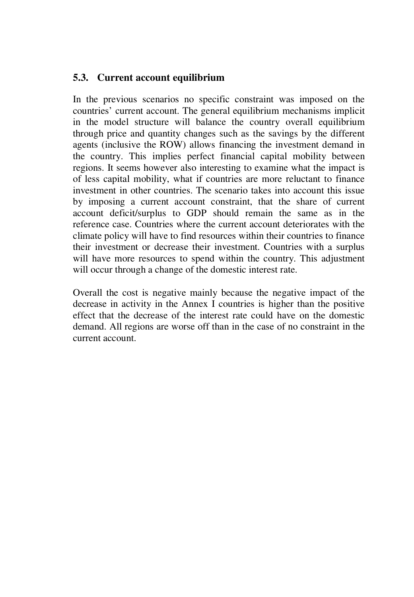#### **5.3. Current account equilibrium**

In the previous scenarios no specific constraint was imposed on the countries' current account. The general equilibrium mechanisms implicit in the model structure will balance the country overall equilibrium through price and quantity changes such as the savings by the different agents (inclusive the ROW) allows financing the investment demand in the country. This implies perfect financial capital mobility between regions. It seems however also interesting to examine what the impact is of less capital mobility, what if countries are more reluctant to finance investment in other countries. The scenario takes into account this issue by imposing a current account constraint, that the share of current account deficit/surplus to GDP should remain the same as in the reference case. Countries where the current account deteriorates with the climate policy will have to find resources within their countries to finance their investment or decrease their investment. Countries with a surplus will have more resources to spend within the country. This adjustment will occur through a change of the domestic interest rate.

Overall the cost is negative mainly because the negative impact of the decrease in activity in the Annex I countries is higher than the positive effect that the decrease of the interest rate could have on the domestic demand. All regions are worse off than in the case of no constraint in the current account.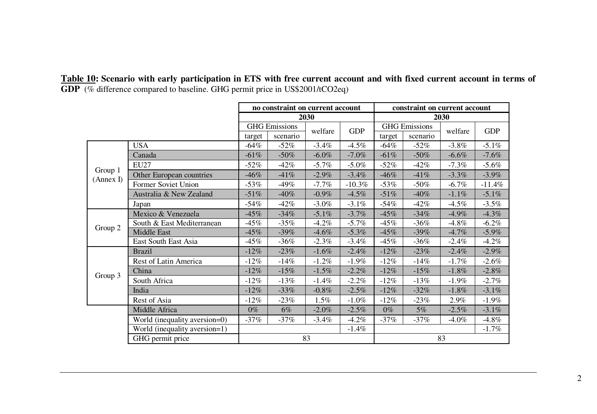|                      |                               |         | constraint on current account    |                       |          |        |                      |          |             |
|----------------------|-------------------------------|---------|----------------------------------|-----------------------|----------|--------|----------------------|----------|-------------|
|                      |                               |         | no constraint on current account | 2030                  |          |        |                      | 2030     |             |
|                      |                               |         | <b>GHG</b> Emissions             |                       |          |        | <b>GHG</b> Emissions |          |             |
|                      |                               | target  | scenario                         | <b>GDP</b><br>welfare |          | target | scenario             | welfare  | ${\rm GDP}$ |
|                      | <b>USA</b>                    | -64%    | $-52\%$                          | $-3.4%$               | $-4.5\%$ | $-64%$ | $-52\%$              | $-3.8\%$ | $-5.1%$     |
|                      | Canada                        | $-61%$  | $-50%$                           | $-6.0\%$              | $-7.0%$  | $-61%$ | $-50\%$              | $-6.6%$  | $-7.6%$     |
|                      | <b>EU27</b>                   | $-52\%$ | $-42%$                           | $-5.7\%$              | $-5.0\%$ | $-52%$ | $-42%$               | $-7.3\%$ | $-5.6%$     |
| Group 1<br>(Annex I) | Other European countries      | -46%    | $-41%$                           | $-2.9\%$              | $-3.4%$  | $-46%$ | $-41%$               | $-3.3%$  | $-3.9\%$    |
|                      | Former Soviet Union           | $-53%$  | $-49%$                           | $-7.7\%$              | $-10.3%$ | $-53%$ | $-50\%$              | $-6.7\%$ | $-11.4%$    |
|                      | Australia & New Zealand       | $-51%$  | $-40%$                           | $-0.9\%$              | $-4.5\%$ | $-51%$ | $-40%$               | $-1.1\%$ | $-5.1\%$    |
|                      | Japan                         | $-54\%$ | $-42\%$                          | $-3.0\%$              | $-3.1\%$ | $-54%$ | $-42%$               | $-4.5\%$ | $-3.5\%$    |
|                      | Mexico & Venezuela            | $-45%$  | $-34%$                           | $-5.1\%$              | $-3.7%$  | $-45%$ | $-34%$               | $-4.9%$  | $-4.3%$     |
| Group 2              | South & East Mediterranean    | -45%    | $-35\%$                          | $-4.2\%$              | $-5.7\%$ | $-45%$ | $-36%$               | $-4.8\%$ | $-6.2\%$    |
|                      | Middle East                   | $-45%$  | $-39%$                           | $-4.6%$               | $-5.3\%$ | $-45%$ | $-39%$               | $-4.7%$  | $-5.9\%$    |
|                      | East South East Asia          | $-45%$  | $-36%$                           | $-2.3%$               | $-3.4%$  | $-45%$ | $-36%$               | $-2.4%$  | $-4.2\%$    |
|                      | <b>Brazil</b>                 | $-12%$  | $-23%$                           | $-1.6%$               | $-2.4%$  | $-12%$ | $-23%$               | $-2.4%$  | $-2.9\%$    |
|                      | Rest of Latin America         | $-12\%$ | $-14%$                           | $-1.2%$               | $-1.9\%$ | $-12%$ | $-14%$               | $-1.7\%$ | $-2.6%$     |
| Group 3              | China                         | $-12%$  | $-15%$                           | $-1.5\%$              | $-2.2%$  | $-12%$ | $-15%$               | $-1.8\%$ | $-2.8\%$    |
|                      | South Africa                  | $-12\%$ | $-13%$                           | $-1.4%$               | $-2.2%$  | $-12%$ | $-13%$               | $-1.9\%$ | $-2.7%$     |
|                      | India                         | $-12%$  | $-33%$                           | $-0.8\%$              | $-2.5\%$ | $-12%$ | $-32%$               | $-1.8%$  | $-3.1\%$    |
|                      | Rest of Asia                  | $-12\%$ | $-23%$                           | 1.5%                  | $-1.0\%$ | $-12%$ | $-23%$               | 2.9%     | $-1.9\%$    |
|                      | Middle Africa                 | $0\%$   | 6%                               | $-2.0\%$              | $-2.5\%$ | $0\%$  | $5\%$                | $-2.5\%$ | $-3.1\%$    |
|                      | World (inequality aversion=0) | $-37%$  | $-37%$                           | $-3.4\%$              | $-4.2\%$ | $-37%$ | $-37\%$              | $-4.0\%$ | $-4.8\%$    |
|                      | World (inequality aversion=1) |         |                                  |                       | $-1.4\%$ |        |                      |          | $-1.7\%$    |
|                      | GHG permit price              |         |                                  | 83                    |          |        |                      | 83       |             |

Table 10: Scenario with early participation in ETS with free current account and with fixed current account in terms of **GDP** (% difference compared to baseline. GHG permit price in US\$2001/tCO2eq)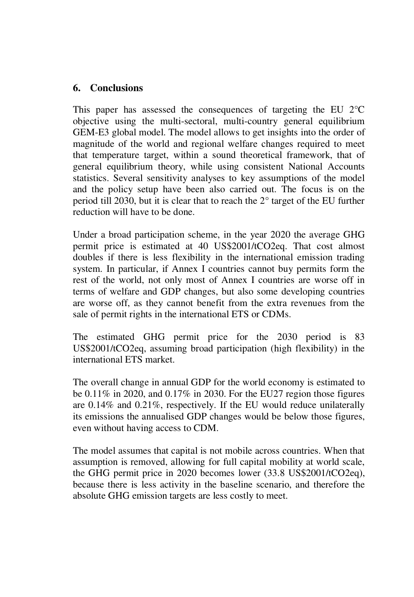#### **6. Conclusions**

This paper has assessed the consequences of targeting the EU 2°C objective using the multi-sectoral, multi-country general equilibrium GEM-E3 global model. The model allows to get insights into the order of magnitude of the world and regional welfare changes required to meet that temperature target, within a sound theoretical framework, that of general equilibrium theory, while using consistent National Accounts statistics. Several sensitivity analyses to key assumptions of the model and the policy setup have been also carried out. The focus is on the period till 2030, but it is clear that to reach the 2° target of the EU further reduction will have to be done.

Under a broad participation scheme, in the year 2020 the average GHG permit price is estimated at 40 US\$2001/tCO2eq. That cost almost doubles if there is less flexibility in the international emission trading system. In particular, if Annex I countries cannot buy permits form the rest of the world, not only most of Annex I countries are worse off in terms of welfare and GDP changes, but also some developing countries are worse off, as they cannot benefit from the extra revenues from the sale of permit rights in the international ETS or CDMs.

The estimated GHG permit price for the 2030 period is 83 US\$2001/tCO2eq, assuming broad participation (high flexibility) in the international ETS market.

The overall change in annual GDP for the world economy is estimated to be 0.11% in 2020, and 0.17% in 2030. For the EU27 region those figures are 0.14% and 0.21%, respectively. If the EU would reduce unilaterally its emissions the annualised GDP changes would be below those figures, even without having access to CDM.

The model assumes that capital is not mobile across countries. When that assumption is removed, allowing for full capital mobility at world scale, the GHG permit price in 2020 becomes lower (33.8 US\$2001/tCO2eq), because there is less activity in the baseline scenario, and therefore the absolute GHG emission targets are less costly to meet.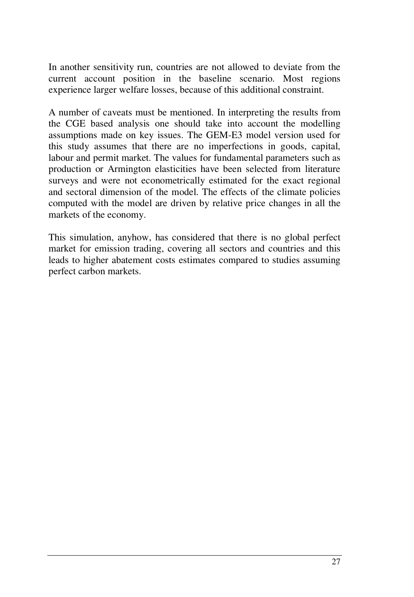In another sensitivity run, countries are not allowed to deviate from the current account position in the baseline scenario. Most regions experience larger welfare losses, because of this additional constraint.

A number of caveats must be mentioned. In interpreting the results from the CGE based analysis one should take into account the modelling assumptions made on key issues. The GEM-E3 model version used for this study assumes that there are no imperfections in goods, capital, labour and permit market. The values for fundamental parameters such as production or Armington elasticities have been selected from literature surveys and were not econometrically estimated for the exact regional and sectoral dimension of the model. The effects of the climate policies computed with the model are driven by relative price changes in all the markets of the economy.

This simulation, anyhow, has considered that there is no global perfect market for emission trading, covering all sectors and countries and this leads to higher abatement costs estimates compared to studies assuming perfect carbon markets.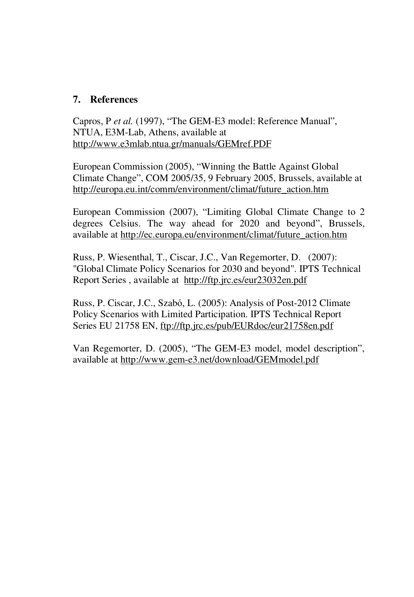#### **7. References**

Capros, P *et al.* (1997), "The GEM-E3 model: Reference Manual", NTUA, E3M-Lab, Athens, available at http://www.e3mlab.ntua.gr/manuals/GEMref.PDF

European Commission (2005), "Winning the Battle Against Global Climate Change", COM 2005/35, 9 February 2005, Brussels, available at http://europa.eu.int/comm/environment/climat/future\_action.htm

European Commission (2007), "Limiting Global Climate Change to 2 degrees Celsius. The way ahead for 2020 and beyond", Brussels, available at http://ec.europa.eu/environment/climat/future\_action.htm

Russ, P. Wiesenthal, T., Ciscar, J.C., Van Regemorter, D. (2007): "Global Climate Policy Scenarios for 2030 and beyond". IPTS Technical Report Series , available at http://ftp.jrc.es/eur23032en.pdf

Russ, P. Ciscar, J.C., Szabó, L. (2005): Analysis of Post-2012 Climate Policy Scenarios with Limited Participation. IPTS Technical Report Series EU 21758 EN, ftp://ftp.jrc.es/pub/EURdoc/eur21758en.pdf

Van Regemorter, D. (2005), "The GEM-E3 model, model description", available at http://www.gem-e3.net/download/GEMmodel.pdf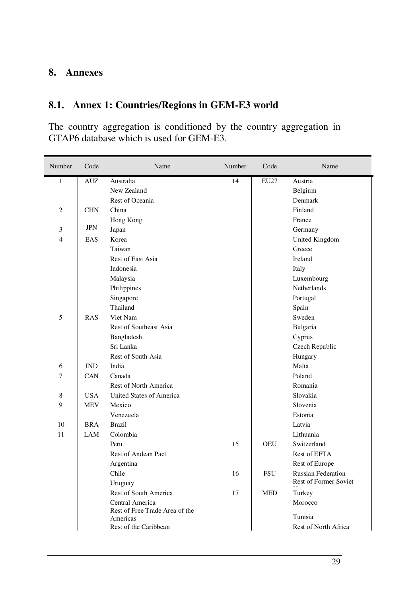#### **8. Annexes**

## **8.1. Annex 1: Countries/Regions in GEM-E3 world**

The country aggregation is conditioned by the country aggregation in GTAP6 database which is used for GEM-E3.

| $\mathbf{1}$<br>AUZ<br>Australia<br>14<br>EU27<br>Austria<br>New Zealand<br>Belgium<br>Rest of Oceania<br>Denmark<br>$\mathfrak{2}$<br><b>CHN</b><br>China<br>Finland<br>Hong Kong<br>France<br><b>JPN</b><br>3<br>Japan<br>Germany<br>$\overline{\mathbf{4}}$<br>EAS<br>Korea<br>United Kingdom<br>Taiwan<br>Greece<br><b>Rest of East Asia</b><br>Ireland<br>Indonesia<br>Italy<br>Malaysia<br>Luxembourg<br>Philippines<br>Netherlands<br>Singapore<br>Portugal<br>Thailand<br>Spain<br>5<br>Sweden<br>RAS<br>Viet Nam<br>Rest of Southeast Asia<br>Bulgaria<br>Bangladesh<br>Cyprus<br>Sri Lanka<br>Czech Republic<br>Rest of South Asia<br>Hungary<br>India<br>Malta<br>6<br><b>IND</b><br>7<br>CAN<br>Canada<br>Poland<br>Rest of North America<br>Romania<br><b>USA</b><br>United States of America<br>Slovakia<br>8<br>9<br><b>MEV</b><br>Mexico<br>Slovenia<br>Venezuela<br>Estonia<br>10<br><b>BRA</b><br><b>Brazil</b><br>Latvia<br>11<br>LAM<br>Colombia<br>Lithuania<br>15<br><b>OEU</b><br>Switzerland<br>Peru | Number | Code | Name                | Number | Code | Name         |
|------------------------------------------------------------------------------------------------------------------------------------------------------------------------------------------------------------------------------------------------------------------------------------------------------------------------------------------------------------------------------------------------------------------------------------------------------------------------------------------------------------------------------------------------------------------------------------------------------------------------------------------------------------------------------------------------------------------------------------------------------------------------------------------------------------------------------------------------------------------------------------------------------------------------------------------------------------------------------------------------------------------------------|--------|------|---------------------|--------|------|--------------|
|                                                                                                                                                                                                                                                                                                                                                                                                                                                                                                                                                                                                                                                                                                                                                                                                                                                                                                                                                                                                                              |        |      |                     |        |      |              |
|                                                                                                                                                                                                                                                                                                                                                                                                                                                                                                                                                                                                                                                                                                                                                                                                                                                                                                                                                                                                                              |        |      |                     |        |      |              |
|                                                                                                                                                                                                                                                                                                                                                                                                                                                                                                                                                                                                                                                                                                                                                                                                                                                                                                                                                                                                                              |        |      |                     |        |      |              |
|                                                                                                                                                                                                                                                                                                                                                                                                                                                                                                                                                                                                                                                                                                                                                                                                                                                                                                                                                                                                                              |        |      |                     |        |      |              |
|                                                                                                                                                                                                                                                                                                                                                                                                                                                                                                                                                                                                                                                                                                                                                                                                                                                                                                                                                                                                                              |        |      |                     |        |      |              |
|                                                                                                                                                                                                                                                                                                                                                                                                                                                                                                                                                                                                                                                                                                                                                                                                                                                                                                                                                                                                                              |        |      |                     |        |      |              |
|                                                                                                                                                                                                                                                                                                                                                                                                                                                                                                                                                                                                                                                                                                                                                                                                                                                                                                                                                                                                                              |        |      |                     |        |      |              |
|                                                                                                                                                                                                                                                                                                                                                                                                                                                                                                                                                                                                                                                                                                                                                                                                                                                                                                                                                                                                                              |        |      |                     |        |      |              |
|                                                                                                                                                                                                                                                                                                                                                                                                                                                                                                                                                                                                                                                                                                                                                                                                                                                                                                                                                                                                                              |        |      |                     |        |      |              |
|                                                                                                                                                                                                                                                                                                                                                                                                                                                                                                                                                                                                                                                                                                                                                                                                                                                                                                                                                                                                                              |        |      |                     |        |      |              |
|                                                                                                                                                                                                                                                                                                                                                                                                                                                                                                                                                                                                                                                                                                                                                                                                                                                                                                                                                                                                                              |        |      |                     |        |      |              |
|                                                                                                                                                                                                                                                                                                                                                                                                                                                                                                                                                                                                                                                                                                                                                                                                                                                                                                                                                                                                                              |        |      |                     |        |      |              |
|                                                                                                                                                                                                                                                                                                                                                                                                                                                                                                                                                                                                                                                                                                                                                                                                                                                                                                                                                                                                                              |        |      |                     |        |      |              |
|                                                                                                                                                                                                                                                                                                                                                                                                                                                                                                                                                                                                                                                                                                                                                                                                                                                                                                                                                                                                                              |        |      |                     |        |      |              |
|                                                                                                                                                                                                                                                                                                                                                                                                                                                                                                                                                                                                                                                                                                                                                                                                                                                                                                                                                                                                                              |        |      |                     |        |      |              |
|                                                                                                                                                                                                                                                                                                                                                                                                                                                                                                                                                                                                                                                                                                                                                                                                                                                                                                                                                                                                                              |        |      |                     |        |      |              |
|                                                                                                                                                                                                                                                                                                                                                                                                                                                                                                                                                                                                                                                                                                                                                                                                                                                                                                                                                                                                                              |        |      |                     |        |      |              |
|                                                                                                                                                                                                                                                                                                                                                                                                                                                                                                                                                                                                                                                                                                                                                                                                                                                                                                                                                                                                                              |        |      |                     |        |      |              |
|                                                                                                                                                                                                                                                                                                                                                                                                                                                                                                                                                                                                                                                                                                                                                                                                                                                                                                                                                                                                                              |        |      |                     |        |      |              |
|                                                                                                                                                                                                                                                                                                                                                                                                                                                                                                                                                                                                                                                                                                                                                                                                                                                                                                                                                                                                                              |        |      |                     |        |      |              |
|                                                                                                                                                                                                                                                                                                                                                                                                                                                                                                                                                                                                                                                                                                                                                                                                                                                                                                                                                                                                                              |        |      |                     |        |      |              |
|                                                                                                                                                                                                                                                                                                                                                                                                                                                                                                                                                                                                                                                                                                                                                                                                                                                                                                                                                                                                                              |        |      |                     |        |      |              |
|                                                                                                                                                                                                                                                                                                                                                                                                                                                                                                                                                                                                                                                                                                                                                                                                                                                                                                                                                                                                                              |        |      |                     |        |      |              |
|                                                                                                                                                                                                                                                                                                                                                                                                                                                                                                                                                                                                                                                                                                                                                                                                                                                                                                                                                                                                                              |        |      |                     |        |      |              |
|                                                                                                                                                                                                                                                                                                                                                                                                                                                                                                                                                                                                                                                                                                                                                                                                                                                                                                                                                                                                                              |        |      |                     |        |      |              |
|                                                                                                                                                                                                                                                                                                                                                                                                                                                                                                                                                                                                                                                                                                                                                                                                                                                                                                                                                                                                                              |        |      |                     |        |      |              |
|                                                                                                                                                                                                                                                                                                                                                                                                                                                                                                                                                                                                                                                                                                                                                                                                                                                                                                                                                                                                                              |        |      |                     |        |      |              |
|                                                                                                                                                                                                                                                                                                                                                                                                                                                                                                                                                                                                                                                                                                                                                                                                                                                                                                                                                                                                                              |        |      |                     |        |      |              |
|                                                                                                                                                                                                                                                                                                                                                                                                                                                                                                                                                                                                                                                                                                                                                                                                                                                                                                                                                                                                                              |        |      | Rest of Andean Pact |        |      | Rest of EFTA |
| Argentina<br>Rest of Europe                                                                                                                                                                                                                                                                                                                                                                                                                                                                                                                                                                                                                                                                                                                                                                                                                                                                                                                                                                                                  |        |      |                     |        |      |              |
| Chile<br><b>FSU</b><br><b>Russian Federation</b><br>16<br><b>Rest of Former Soviet</b>                                                                                                                                                                                                                                                                                                                                                                                                                                                                                                                                                                                                                                                                                                                                                                                                                                                                                                                                       |        |      |                     |        |      |              |
| Uruguay                                                                                                                                                                                                                                                                                                                                                                                                                                                                                                                                                                                                                                                                                                                                                                                                                                                                                                                                                                                                                      |        |      |                     |        |      |              |
| Rest of South America<br>17<br><b>MED</b><br>Turkey                                                                                                                                                                                                                                                                                                                                                                                                                                                                                                                                                                                                                                                                                                                                                                                                                                                                                                                                                                          |        |      |                     |        |      |              |
| Central America<br>Morocco<br>Rest of Free Trade Area of the                                                                                                                                                                                                                                                                                                                                                                                                                                                                                                                                                                                                                                                                                                                                                                                                                                                                                                                                                                 |        |      |                     |        |      |              |
| Tunisia<br>Americas                                                                                                                                                                                                                                                                                                                                                                                                                                                                                                                                                                                                                                                                                                                                                                                                                                                                                                                                                                                                          |        |      |                     |        |      |              |
| Rest of the Caribbean<br>Rest of North Africa                                                                                                                                                                                                                                                                                                                                                                                                                                                                                                                                                                                                                                                                                                                                                                                                                                                                                                                                                                                |        |      |                     |        |      |              |